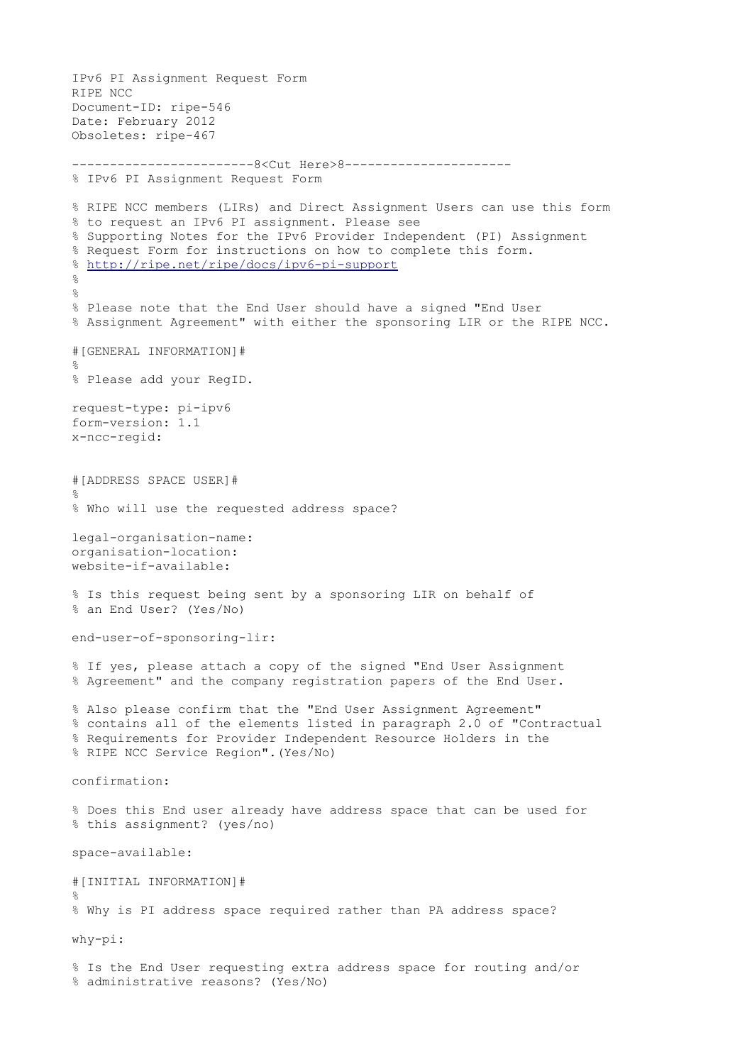```
IPv6 PI Assignment Request Form 
RIPE NCC 
Document-ID: ripe-546 
Date: February 2012 
Obsoletes: ripe-467
------------------------8<Cut Here>8----------------------
% IPv6 PI Assignment Request Form 
% RIPE NCC members (LIRs) and Direct Assignment Users can use this form 
% to request an IPv6 PI assignment. Please see 
% Supporting Notes for the IPv6 Provider Independent (PI) Assignment 
% Request Form for instructions on how to complete this form. 
% http://ripe.net/ripe/docs/ipv6-pi-support
\mathbf{Q}\frac{1}{2}% Please note that the End User should have a signed "End User 
% Assignment Agreement" with either the sponsoring LIR or the RIPE NCC. 
#[GENERAL INFORMATION]# 
% 
% Please add your RegID. 
request-type: pi-ipv6 
form-version: 1.1 
x-ncc-regid: 
#[ADDRESS SPACE USER]# 
\approx% Who will use the requested address space? 
legal-organisation-name: 
organisation-location: 
website-if-available: 
% Is this request being sent by a sponsoring LIR on behalf of 
% an End User? (Yes/No) 
end-user-of-sponsoring-lir: 
% If yes, please attach a copy of the signed "End User Assignment 
% Agreement" and the company registration papers of the End User. 
% Also please confirm that the "End User Assignment Agreement" 
% contains all of the elements listed in paragraph 2.0 of "Contractual 
% Requirements for Provider Independent Resource Holders in the 
% RIPE NCC Service Region".(Yes/No) 
confirmation: 
% Does this End user already have address space that can be used for 
% this assignment? (yes/no) 
space-available: 
#[INITIAL INFORMATION]# 
% 
% Why is PI address space required rather than PA address space? 
why-pi: 
% Is the End User requesting extra address space for routing and/or 
% administrative reasons? (Yes/No)
```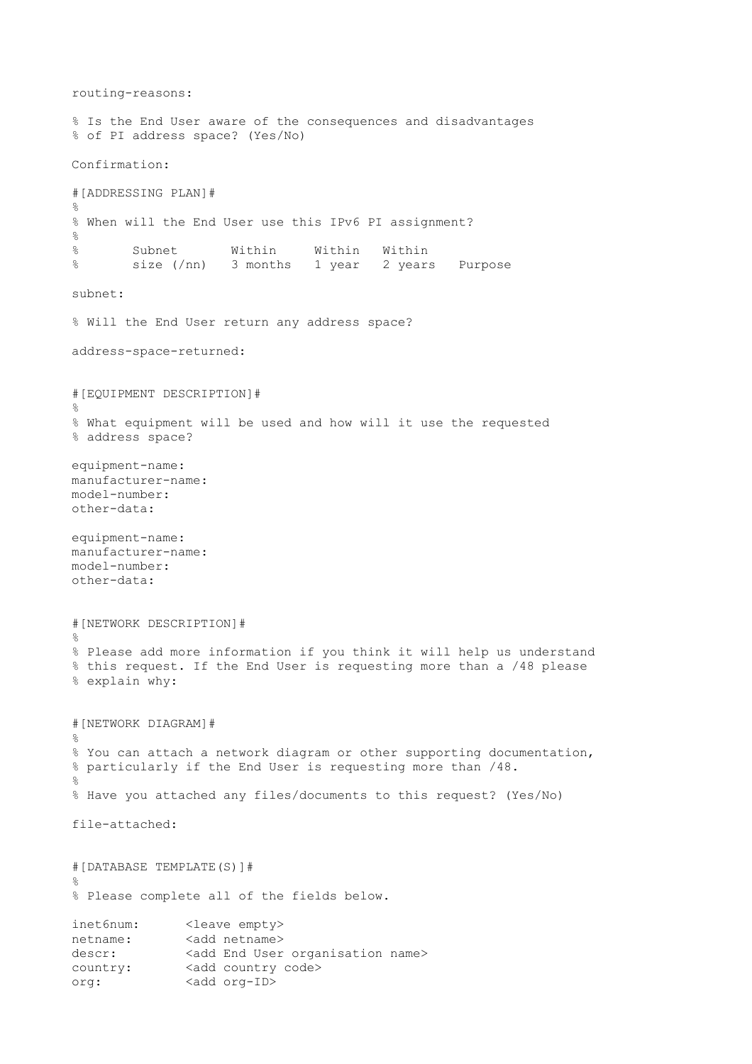routing-reasons: % Is the End User aware of the consequences and disadvantages % of PI address space? (Yes/No) Confirmation: #[ADDRESSING PLAN]# % % When will the End User use this IPv6 PI assignment?  $\circ$ % Subnet Within Within Within % size (/nn) 3 months 1 year 2 years Purpose subnet: % Will the End User return any address space? address-space-returned: #[EQUIPMENT DESCRIPTION]# % % What equipment will be used and how will it use the requested % address space? equipment-name: manufacturer-name: model-number: other-data: equipment-name: manufacturer-name: model-number: other-data: #[NETWORK DESCRIPTION]#  $\geq$ % Please add more information if you think it will help us understand % this request. If the End User is requesting more than a /48 please % explain why: #[NETWORK DIAGRAM]# % % You can attach a network diagram or other supporting documentation, % particularly if the End User is requesting more than /48.  $\approx$ % Have you attached any files/documents to this request? (Yes/No) file-attached: #[DATABASE TEMPLATE(S)]#  $\approx$ % Please complete all of the fields below. inet6num: <leave empty> netname: <add netname> descr: <add End User organisation name> country: <add country code> org: <add org-ID>